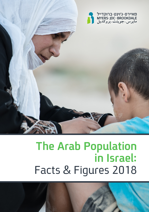

# **The Arab Population in Israel:**  Facts & Figures 2018

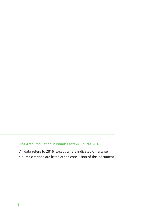#### **The Arab Population in Israel: Facts & Figures 2018**

All data refers to 2016, except where indicated otherwise. Source citations are listed at the conclusion of this document.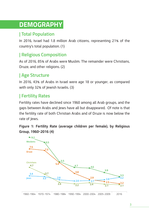# **DEMOGRAPHY**

# **| Total Population**

In 2016, Israel had 1.8 million Arab citizens, representing 21% of the country's total population. (1)

# **| Religious Composition**

As of 2016, 85% of Arabs were Muslim. The remainder were Christians, Druze, and other religions. (2)

# **| Age Structure**

In 2016, 43% of Arabs in Israel were age 18 or younger, as compared with only 32% of Jewish Israelis. (3)

# **| Fertility Rates**

Fertility rates have declined since 1960 among all Arab groups, and the gaps between Arabs and Jews have all but disappeared. Of note is that the fertility rate of both Christian Arabs and of Druze is now below the rate of Jews.

**Figure 1: Fertility Rate (average children per female), by Religious Group, 1960-2016 (4)**

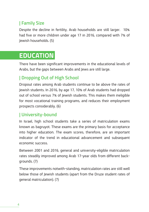# **| Family Size**

Despite the decline in fertility, Arab households are still larger. 10% had five or more children under age 17 in 2016, compared with 7% of Jewish households. (5)

# **EDUCATION**

There have been significant improvements in the educational levels of Arabs, but the gaps between Arabs and Jews are still large.

### **| Dropping Out of High School**

Dropout rates among Arab students continue to be above the rates of Jewish students. In 2016, by age 17, 10% of Arab students had dropped out of school versus 7% of Jewish students. This makes them ineligible for most vocational training programs, and reduces their employment prospects considerably. (6)

#### **| University-bound**

In Israel, high school students take a series of matriculation exams known as bagruyot. These exams are the primary basis for acceptance into higher education. The exam scores, therefore, are an important indicator of the trend in educational advancement and subsequent economic success.

Between 2001 and 2016, general and university-eligible matriculation rates steadily improved among Arab 17-year olds from different backgrounds. (7)

These improvements notwith-standing, matriculation rates are still well below those of Jewish students (apart from the Druze student rates of general matriculation). (7)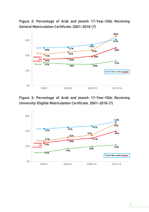**Figure 2: Percentage of Arab and Jewish 17-Year-Olds Receiving General Matriculation Certificate, 2001-2016 (7)**



#### **Figure 3: Percentage of Arab and Jewish 17-Year-Olds Receiving University-Eligible Matriculation Certificate, 2001-2016 (7)**

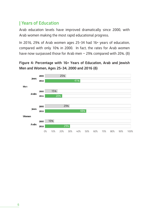### **| Years of Education**

Arab education levels have improved dramatically since 2000, with Arab women making the most rapid educational progress.

In 2016, 29% of Arab women ages 25-34 had 16+ years of education, compared with only 10% in 2000. In fact, the rates for Arab women have now surpassed those for Arab men — 29% compared with 20%. (8)

#### **Figure 4: Percentage with 16+ Years of Education, Arab and Jewish Men and Women, Ages 25-34, 2000 and 2016 (8)**

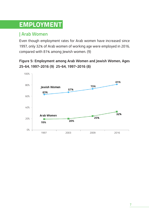# **EMPLOYMENT**

# **| Arab Women**

Even though employment rates for Arab women have increased since 1997, only 32% of Arab women of working age were employed in 2016, compared with 81% among Jewish women. (9)

**Figure 5: Employment among Arab Women and Jewish Women, Ages 25-64, 1997-2016 (9) 25-64, 1997-2016 (8)**

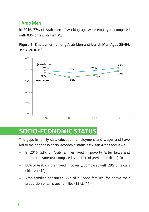### **| Arab Men**

In 2016, 77% of Arab men of working age were employed, compared with 83% of Jewish men. (9)

**Figure 6: Employment among Arab Men and Jewish Men Ages 25-64, 1997-2016 (9)**



# **SOCIO-ECONOMIC STATUS**

The gaps in family size, education, employment and wages and have led to major gaps in socio-economic status between Arabs and Jews.

- In 2016, 53% of Arab families lived in poverty (after taxes and transfer payments), compared with 14% of Jewish families. (10)
- 66% of Arab children lived in poverty, compared with 20% of Jewish children. (10)
- Arab families constitute 38% of all poor families, far above their proportion of all Israeli families (13%). (11)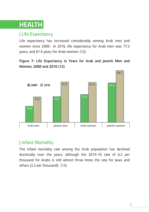# **HEALTH**

### **| Life Expectancy**

Life expectancy has increased considerably among Arab men and women since 2000. In 2016, life expectancy for Arab men was 77.2 years, and 81.4 years for Arab women. (12)

**Figure 7: Life Expectancy in Years for Arab and Jewish Men and Women, 2000 and 2016 (12)**



# **| Infant Mortality**

The infant mortality rate among the Arab population has declined drastically over the years, although the 2014-16 rate of 6.2 per thousand for Arabs is still almost three times the rate for Jews and others (2.2 per thousand). (13)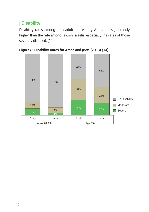# **| Disability**

Disability rates among both adult and elderly Arabs are significantly higher than the rate among Jewish Israelis, especially the rates of those severely disabled. (14)



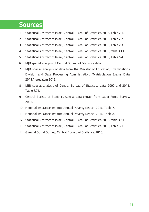# **Sources**

- 1. Statistical Abstract of Israel, Central Bureau of Statistics, 2016, Table 2.1.
- 2. Statistical Abstract of Israel, Central Bureau of Statistics, 2016, Table 2.2.
- 3. Statistical Abstract of Israel, Central Bureau of Statistics, 2016, Table 2.3.
- 4. Statistical Abstract of Israel, Central Bureau of Statistics, 2016, table 3.13.
- 5. Statistical Abstract of Israel, Central Bureau of Statistics, 2016, Table 5.4.
- 6. MJB special analysis of Central Bureau of Statistics data.
- 7. MJB special analysis of data from the Ministry of Education, Examinations Division and Data Processing Administration, "Matriculation Exams Data 2015," Jerusalem 2016.
- 8. MJB special analysis of Central Bureau of Statistics data, 2000 and 2016, Table 8.71.
- 9. Central Bureau of Statistics special data extract from Labor Force Survey, 2016.
- 10. National Insurance Institute Annual Poverty Report, 2016, Table 7.
- 11. National Insurance Institute Annual Poverty Report, 2016, Table 8.
- 12. Statistical Abstract of Israel, Central Bureau of Statistics, 2016, table 3.24
- 13. Statistical Abstract of Israel, Central Bureau of Statistics, 2016, Table 3.11.
- 14. General Social Survey, Central Bureau of Statistics, 2015.